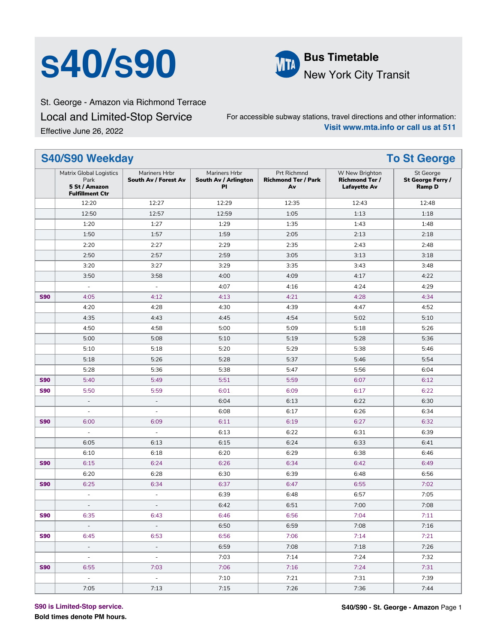# **S40/S90 MM** Bus Timetable



New York City Transit

St. George - Amazon via Richmond Terrace Local and Limited-Stop Service Effective June 26, 2022

For accessible subway stations, travel directions and other information: **Visit www.mta.info or call us at 511**

#### **S40/S90 Weekday To St George** Matrix Global Logistics Park **5 St / Amazon Fulfillment Ctr** Mariners Hrbr **South Av / Forest Av** Mariners Hrbr **South Av / Arlington Pl** Prt Richmnd **Richmond Ter / Park Av** W New Brighton **Richmond Ter / Lafayette Av** St George **St George Ferry / Ramp D** 12:20 12:27 12:29 12:35 12:43 12:48 12:50 12:57 12:59 1:05 1:13 1:18 1:20 1:27 1:29 1:35 1:43 1:48 1:50 1:57 1:59 2:05 2:13 2:18 2:20 2:27 2:29 2:35 2:43 2:48 2:50 2:57 2:59 3:05 3:13 3:18 3:20 3:27 3:29 3:35 3:43 3:48 3:50 3:58 4:00 4:09 4:17 4:22 - - 4:07 4:16 4:24 4:29 **S90** 4:05 4:12 4:13 4:13 4:21 4:28 4:34 4:20 4:28 4:30 4:39 4:47 4:52 4:35 4:43 4:45 4:54 5:02 5:10 4:50 4:58 5:00 5:09 5:18 5:26 5:00 5:08 5:10 5:19 5:28 5:36 5:10 5:18 5:20 5:29 5:38 5:46 5:18 5:26 5:28 5:37 5:46 5:54 5:28 5:36 5:38 5:47 5:56 6:04 **S90** 5:40 | 5:49 | 5:51 | 5:59 | 6:07 | 6:12 **S90** 5:50 | 5:59 | 6:01 | 6:09 | 6:17 | 6:22 - | - | 6:04 | 6:13 | 6:22 | 6:30 - | - | 6:08 | 6:17 | 6:26 | 6:34 **S90** | 6:00 | 6:09 | 6:11 | 6:19 | 6:27 | 6:32 - | - | 6:13 | 6:22 | 6:31 | 6:39 6:05 6:13 6:15 6:24 6:33 6:41 6:10 6:18 6:20 6:29 6:38 6:46 **S90** 6:15 | 6:24 | 6:26 | 6:34 | 6:42 | 6:49 6:20 6:28 6:30 6:39 6:48 6:56 **S90** 6:25 | 6:34 | 6:37 | 6:47 | 6:55 | 7:02 - - 6:39 6:48 6:57 7:05 - | - - | 6:42 | 6:51 | 7:00 | 7:08 **S90** 6:35 6:43 6:45 6:46 6:56 7:04 7:01 - - 6:50 6:59 7:08 7:16 **S90** 6:45 6:53 6:55 6:56 7:06 7:14 7:14 7:21 - - 6:59 7:08 7:18 7:26 - - 7:03 7:14 7:24 7:32 **S90** 6:55 7:03 7:06 7:06 7:16 7:24 7:31 - - 7:10 7:21 7:31 7:39 7:05 7:13 7:15 7:26 7:36 7:44

**S90 is Limited-Stop service.**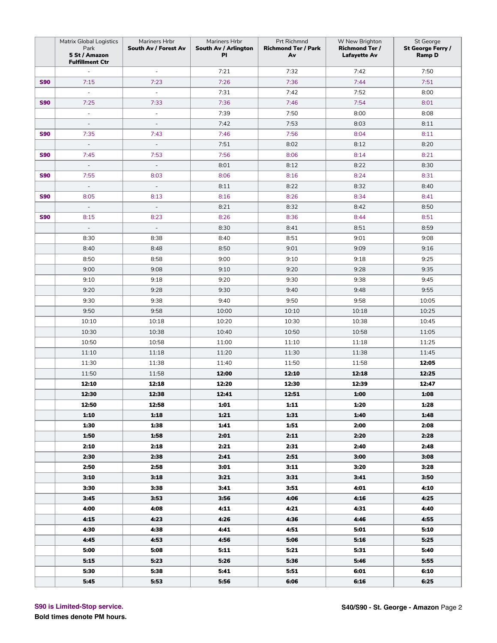|            | Matrix Global Logistics<br>Park<br>5 St / Amazon<br><b>Fulfillment Ctr</b> | Mariners Hrbr<br>South Av / Forest Av | Mariners Hrbr<br>South Av / Arlington<br>PI | Prt Richmnd<br><b>Richmond Ter / Park</b><br>Av | W New Brighton<br><b>Richmond Ter /</b><br><b>Lafayette Av</b> | St George<br>St George Ferry /<br><b>Ramp D</b> |
|------------|----------------------------------------------------------------------------|---------------------------------------|---------------------------------------------|-------------------------------------------------|----------------------------------------------------------------|-------------------------------------------------|
|            |                                                                            | $\overline{\phantom{a}}$              | 7:21                                        | 7:32                                            | 7:42                                                           | 7:50                                            |
| <b>S90</b> | 7:15                                                                       | 7:23                                  | 7:26                                        | 7:36                                            | 7:44                                                           | 7:51                                            |
|            | $\overline{\phantom{a}}$                                                   | $\bar{\phantom{a}}$                   | 7:31                                        | 7:42                                            | 7:52                                                           | 8:00                                            |
| <b>S90</b> | 7:25                                                                       | 7:33                                  | 7:36                                        | 7:46                                            | 7:54                                                           | 8:01                                            |
|            | $\sim$                                                                     | $\overline{\phantom{a}}$              | 7:39                                        | 7:50                                            | 8:00                                                           | 8:08                                            |
|            | ÷,                                                                         | $\overline{a}$                        | 7:42                                        | 7:53                                            | 8:03                                                           | 8:11                                            |
| <b>S90</b> | 7:35                                                                       | 7:43                                  | 7:46                                        | 7:56                                            | 8:04                                                           | 8:11                                            |
|            | $\overline{\phantom{a}}$                                                   | $\overline{\phantom{a}}$              | 7:51                                        | 8:02                                            | 8:12                                                           | 8:20                                            |
| <b>S90</b> | 7:45                                                                       | 7:53                                  | 7:56                                        | 8:06                                            | 8:14                                                           | 8:21                                            |
|            | $\mathcal{L}$                                                              | $\mathbb{Z}^2$                        | 8:01                                        | 8:12                                            | 8:22                                                           | 8:30                                            |
| <b>S90</b> | 7:55                                                                       | 8:03                                  | 8:06                                        | 8:16                                            | 8:24                                                           | 8:31                                            |
|            | $\overline{\phantom{a}}$                                                   | $\Box$                                | 8:11                                        | 8:22                                            | 8:32                                                           | 8:40                                            |
| <b>S90</b> | 8:05                                                                       | 8:13                                  | 8:16                                        | 8:26                                            | 8:34                                                           | 8:41                                            |
|            | $\overline{\phantom{a}}$                                                   | $\overline{\phantom{a}}$              | 8:21                                        | 8:32                                            | 8:42                                                           | 8:50                                            |
| <b>S90</b> | 8:15                                                                       | 8:23                                  | 8:26                                        | 8:36                                            | 8:44                                                           | 8:51                                            |
|            | $\overline{\phantom{a}}$                                                   | $\overline{\phantom{a}}$              | 8:30                                        | 8:41                                            | 8:51                                                           | 8:59                                            |
|            | 8:30                                                                       | 8:38                                  | 8:40                                        | 8:51                                            | 9:01                                                           | 9:08                                            |
|            | 8:40                                                                       | 8:48                                  | 8:50                                        | 9:01                                            | 9:09                                                           | 9:16                                            |
|            | 8:50                                                                       | 8:58                                  | 9:00                                        | 9:10                                            | 9:18                                                           | 9:25                                            |
|            | 9:00                                                                       | 9:08                                  | 9:10                                        | 9:20                                            | 9:28                                                           | 9:35                                            |
|            | 9:10                                                                       | 9:18                                  | 9:20                                        | 9:30                                            | 9:38                                                           | 9:45                                            |
|            | 9:20                                                                       | 9:28                                  | 9:30                                        | 9:40                                            | 9:48                                                           | 9:55                                            |
|            | 9:30                                                                       | 9:38                                  | 9:40                                        | 9:50                                            | 9:58                                                           | 10:05                                           |
|            | 9:50                                                                       | 9:58                                  | 10:00                                       | 10:10                                           | 10:18                                                          | 10:25                                           |
|            | 10:10                                                                      | 10:18                                 | 10:20                                       | 10:30                                           | 10:38                                                          | 10:45                                           |
|            | 10:30                                                                      | 10:38                                 | 10:40                                       | 10:50                                           | 10:58                                                          | 11:05                                           |
|            | 10:50                                                                      | 10:58                                 | 11:00                                       | 11:10                                           | 11:18                                                          | 11:25                                           |
|            | 11:10                                                                      | 11:18                                 | 11:20                                       | 11:30                                           | 11:38                                                          | 11:45                                           |
|            | 11:30                                                                      | 11:38                                 | 11:40                                       | 11:50                                           | 11:58                                                          | 12:05                                           |
|            | 11:50                                                                      | 11:58                                 | 12:00                                       | 12:10                                           | 12:18                                                          | 12:25                                           |
|            | 12:10                                                                      | 12:18                                 | 12:20                                       | 12:30                                           | 12:39                                                          | 12:47                                           |
|            | 12:30                                                                      | 12:38                                 | 12:41                                       | 12:51                                           | 1:00                                                           | 1:08                                            |
|            | 12:50                                                                      | 12:58                                 | 1:01                                        | 1:11                                            | 1:20                                                           | 1:28                                            |
|            | 1:10                                                                       | 1:18                                  | 1:21                                        | 1:31                                            | 1:40                                                           | 1:48                                            |
|            | 1:30                                                                       | 1:38                                  | 1:41                                        | 1:51                                            | 2:00                                                           | 2:08                                            |
|            | 1:50                                                                       | 1:58                                  | 2:01                                        | 2:11                                            | 2:20                                                           | 2:28                                            |
|            | 2:10                                                                       | 2:18                                  | 2:21                                        | 2:31                                            | 2:40                                                           | 2:48                                            |
|            | 2:30                                                                       | 2:38                                  | 2:41                                        | 2:51                                            | 3:00                                                           | 3:08                                            |
|            | 2:50                                                                       | 2:58                                  | 3:01                                        | 3:11                                            | 3:20                                                           | 3:28                                            |
|            | 3:10                                                                       | 3:18                                  | 3:21                                        | 3:31                                            | 3:41                                                           | 3:50                                            |
|            | 3:30                                                                       | 3:38                                  | 3:41                                        | 3:51                                            | 4:01                                                           | 4:10                                            |
|            | 3:45                                                                       | 3:53                                  | 3:56                                        | 4:06                                            | 4:16                                                           | 4:25                                            |
|            | 4:00                                                                       | 4:08                                  | 4:11                                        | 4:21                                            | 4:31                                                           | 4:40                                            |
|            | 4:15                                                                       | 4:23                                  | 4:26                                        | 4:36                                            | 4:46                                                           | 4:55                                            |
|            | 4:30                                                                       | 4:38                                  | 4:41                                        | 4:51                                            | 5:01                                                           | 5:10                                            |
|            | 4:45                                                                       | 4:53                                  | 4:56                                        | 5:06                                            | 5:16                                                           | 5:25                                            |
|            | 5:00                                                                       | 5:08                                  | 5:11                                        | 5:21                                            | 5:31                                                           | 5:40                                            |
|            | 5:15                                                                       | 5:23                                  | 5:26                                        | 5:36                                            | 5:46                                                           | 5:55                                            |
|            | 5:30                                                                       | 5:38                                  | 5:41                                        | 5:51                                            | 6:01                                                           | 6:10                                            |
|            | 5:45                                                                       | 5:53                                  | 5:56                                        | 6:06                                            | 6:16                                                           | 6:25                                            |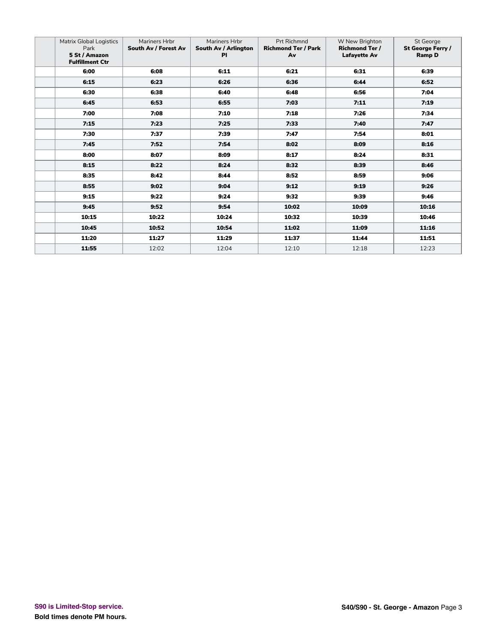| <b>Matrix Global Logistics</b><br>Park<br>5 St / Amazon<br><b>Fulfillment Ctr</b> | Mariners Hrbr<br>South Av / Forest Av | Mariners Hrbr<br>South Av / Arlington<br><b>PI</b> | <b>Prt Richmnd</b><br><b>Richmond Ter / Park</b><br>Av | W New Brighton<br><b>Richmond Ter /</b><br><b>Lafayette Av</b> | St George<br>St George Ferry /<br><b>Ramp D</b> |
|-----------------------------------------------------------------------------------|---------------------------------------|----------------------------------------------------|--------------------------------------------------------|----------------------------------------------------------------|-------------------------------------------------|
| 6:00                                                                              | 6:08                                  | 6:11                                               | 6:21                                                   | 6:31                                                           | 6:39                                            |
| 6:15                                                                              | 6:23                                  | 6:26                                               | 6:36                                                   | 6:44                                                           | 6:52                                            |
| 6:30                                                                              | 6:38                                  | 6:40                                               | 6:48                                                   | 6:56                                                           | 7:04                                            |
| 6:45                                                                              | 6:53                                  | 6:55                                               | 7:03                                                   | 7:11                                                           | 7:19                                            |
| 7:00                                                                              | 7:08                                  | 7:10                                               | 7:18                                                   | 7:26                                                           | 7:34                                            |
| 7:15                                                                              | 7:23                                  | 7:25                                               | 7:33                                                   | 7:40                                                           | 7:47                                            |
| 7:30                                                                              | 7:37                                  | 7:39                                               | 7:47                                                   | 7:54                                                           | 8:01                                            |
| 7:45                                                                              | 7:52                                  | 7:54                                               | 8:02                                                   | 8:09                                                           | 8:16                                            |
| 8:00                                                                              | 8:07                                  | 8:09                                               | 8:17                                                   | 8:24                                                           | 8:31                                            |
| 8:15                                                                              | 8:22                                  | 8:24                                               | 8:32                                                   | 8:39                                                           | 8:46                                            |
| 8:35                                                                              | 8:42                                  | 8:44                                               | 8:52                                                   | 8:59                                                           | 9:06                                            |
| 8:55                                                                              | 9:02                                  | 9:04                                               | 9:12                                                   | 9:19                                                           | 9:26                                            |
| 9:15                                                                              | 9:22                                  | 9:24                                               | 9:32                                                   | 9:39                                                           | 9:46                                            |
| 9:45                                                                              | 9:52                                  | 9:54                                               | 10:02                                                  | 10:09                                                          | 10:16                                           |
| 10:15                                                                             | 10:22                                 | 10:24                                              | 10:32                                                  | 10:39                                                          | 10:46                                           |
| 10:45                                                                             | 10:52                                 | 10:54                                              | 11:02                                                  | 11:09                                                          | 11:16                                           |
| 11:20                                                                             | 11:27                                 | 11:29                                              | 11:37                                                  | 11:44                                                          | 11:51                                           |
| 11:55                                                                             | 12:02                                 | 12:04                                              | 12:10                                                  | 12:18                                                          | 12:23                                           |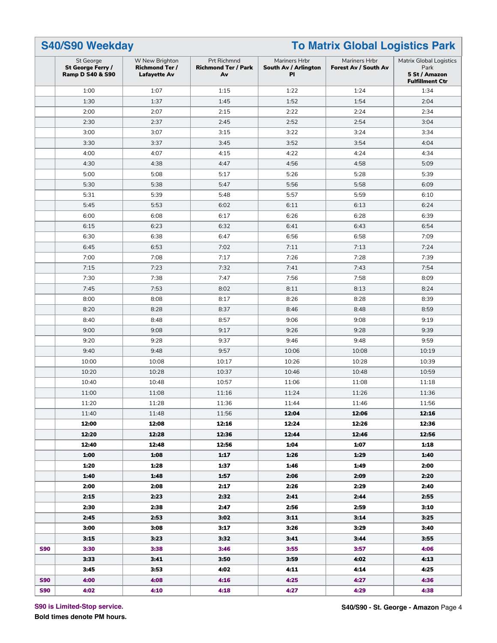|            | S40/S90 Weekday<br><b>To Matrix Global Logistics Park</b>     |                                                                |                                                 |                                             |                                       |                                                                                   |
|------------|---------------------------------------------------------------|----------------------------------------------------------------|-------------------------------------------------|---------------------------------------------|---------------------------------------|-----------------------------------------------------------------------------------|
|            | St George<br>St George Ferry /<br><b>Ramp D S40 &amp; S90</b> | W New Brighton<br><b>Richmond Ter /</b><br><b>Lafayette Av</b> | Prt Richmnd<br><b>Richmond Ter / Park</b><br>Av | Mariners Hrbr<br>South Av / Arlington<br>PI | Mariners Hrbr<br>Forest Av / South Av | <b>Matrix Global Logistics</b><br>Park<br>5 St / Amazon<br><b>Fulfillment Ctr</b> |
|            | 1:00                                                          | 1:07                                                           | 1:15                                            | 1:22                                        | 1:24                                  | 1:34                                                                              |
|            | 1:30                                                          | 1:37                                                           | 1:45                                            | 1:52                                        | 1:54                                  | 2:04                                                                              |
|            | 2:00                                                          | 2:07                                                           | 2:15                                            | 2:22                                        | 2:24                                  | 2:34                                                                              |
|            | 2:30                                                          | 2:37                                                           | 2:45                                            | 2:52                                        | 2:54                                  | 3:04                                                                              |
|            | 3:00                                                          | 3:07                                                           | 3:15                                            | 3:22                                        | 3:24                                  | 3:34                                                                              |
|            | 3:30                                                          | 3:37                                                           | 3:45                                            | 3:52                                        | 3:54                                  | 4:04                                                                              |
|            | 4:00                                                          | 4:07                                                           | 4:15                                            | 4:22                                        | 4:24                                  | 4:34                                                                              |
|            | 4:30                                                          | 4:38                                                           | 4:47                                            | 4:56                                        | 4:58                                  | 5:09                                                                              |
|            | 5:00                                                          | 5:08                                                           | 5:17                                            | 5:26                                        | 5:28                                  | 5:39                                                                              |
|            | 5:30                                                          | 5:38                                                           | 5:47                                            | 5:56                                        | 5:58                                  | 6:09                                                                              |
|            | 5:31                                                          | 5:39                                                           | 5:48                                            | 5:57                                        | 5:59                                  | 6:10                                                                              |
|            | 5:45                                                          | 5:53                                                           | 6:02                                            | 6:11                                        | 6:13                                  | 6:24                                                                              |
|            | 6:00                                                          | 6:08                                                           | 6:17                                            | 6:26                                        | 6:28                                  | 6:39                                                                              |
|            | 6:15                                                          | 6:23                                                           | 6:32                                            | 6:41                                        | 6:43                                  | 6:54                                                                              |
|            | 6:30                                                          | 6:38                                                           | 6:47                                            | 6:56                                        | 6:58                                  | 7:09                                                                              |
|            | 6:45                                                          | 6:53                                                           | 7:02                                            | 7:11                                        | 7:13                                  | 7:24                                                                              |
|            | 7:00                                                          | 7:08                                                           | 7:17                                            | 7:26                                        | 7:28                                  | 7:39                                                                              |
|            | 7:15                                                          | 7:23                                                           | 7:32                                            | 7:41                                        | 7:43                                  | 7:54                                                                              |
|            | 7:30                                                          | 7:38                                                           | 7:47                                            | 7:56                                        | 7:58                                  | 8:09                                                                              |
|            | 7:45                                                          | 7:53                                                           | 8:02                                            | 8:11                                        | 8:13                                  | 8:24                                                                              |
|            | 8:00                                                          | 8:08                                                           | 8:17                                            | 8:26                                        | 8:28                                  | 8:39                                                                              |
|            | 8:20                                                          | 8:28                                                           | 8:37                                            | 8:46                                        | 8:48                                  | 8:59                                                                              |
|            | 8:40                                                          | 8:48                                                           | 8:57                                            | 9:06                                        | 9:08                                  | 9:19                                                                              |
|            | 9:00                                                          | 9:08                                                           | 9:17                                            | 9:26                                        | 9:28                                  | 9:39                                                                              |
|            | 9:20                                                          | 9:28                                                           | 9:37                                            | 9:46                                        | 9:48                                  | 9:59                                                                              |
|            | 9:40                                                          | 9:48                                                           | 9:57                                            | 10:06                                       | 10:08                                 | 10:19                                                                             |
|            | 10:00                                                         | 10:08                                                          | 10:17                                           | 10:26                                       | 10:28                                 | 10:39                                                                             |
|            | 10:20                                                         | 10:28                                                          | 10:37                                           | 10:46                                       | 10:48                                 | 10:59                                                                             |
|            | 10:40                                                         | 10:48                                                          | 10:57                                           | 11:06                                       | 11:08                                 | 11:18                                                                             |
|            | 11:00                                                         | 11:08                                                          | 11:16                                           | 11:24                                       | 11:26                                 | 11:36                                                                             |
|            | 11:20                                                         | 11:28                                                          | 11:36                                           | 11:44                                       | 11:46                                 | 11:56                                                                             |
|            | 11:40                                                         | 11:48                                                          | 11:56                                           | 12:04                                       | 12:06                                 | 12:16                                                                             |
|            | 12:00                                                         | 12:08                                                          | 12:16                                           | 12:24                                       | 12:26                                 | 12:36                                                                             |
|            | 12:20                                                         | 12:28                                                          | 12:36                                           | 12:44                                       | 12:46                                 | 12:56                                                                             |
|            | 12:40                                                         | 12:48                                                          | 12:56                                           | 1:04                                        | 1:07                                  | 1:18                                                                              |
|            | 1:00                                                          | 1:08                                                           | 1:17                                            | 1:26                                        | 1:29                                  | 1:40                                                                              |
|            | 1:20                                                          | 1:28                                                           | 1:37                                            | 1:46                                        | 1:49                                  | 2:00                                                                              |
|            | 1:40                                                          | 1:48                                                           | 1:57                                            | 2:06                                        | 2:09                                  | 2:20                                                                              |
|            | 2:00                                                          | 2:08                                                           | 2:17                                            | 2:26                                        | 2:29                                  | 2:40                                                                              |
|            | 2:15                                                          | 2:23                                                           | 2:32                                            | 2:41                                        | 2:44                                  | 2:55                                                                              |
|            | 2:30                                                          | 2:38                                                           | 2:47                                            | 2:56                                        | 2:59                                  | 3:10                                                                              |
|            | 2:45                                                          | 2:53                                                           | 3:02                                            | 3:11                                        | 3:14                                  | 3:25                                                                              |
|            | 3:00                                                          | 3:08                                                           | 3:17                                            | 3:26                                        | 3:29                                  | 3:40                                                                              |
|            | 3:15                                                          | 3:23                                                           | 3:32                                            | 3:41                                        | 3:44                                  | 3:55                                                                              |
| <b>S90</b> | 3:30                                                          | 3:38                                                           | 3:46                                            | 3:55                                        | 3:57                                  | 4:06                                                                              |
|            | 3:33                                                          | 3:41                                                           | 3:50                                            | 3:59                                        | 4:02                                  | 4:13                                                                              |
|            | 3:45                                                          | 3:53                                                           | 4:02                                            | 4:11                                        | 4:14                                  | 4:25                                                                              |
| <b>S90</b> | 4:00                                                          | 4:08                                                           | 4:16                                            | 4:25                                        | 4:27                                  | 4:36                                                                              |
| <b>S90</b> | 4:02                                                          | 4:10                                                           | 4:18                                            | 4:27                                        | 4:29                                  | 4:38                                                                              |

**S90 is Limited-Stop service.**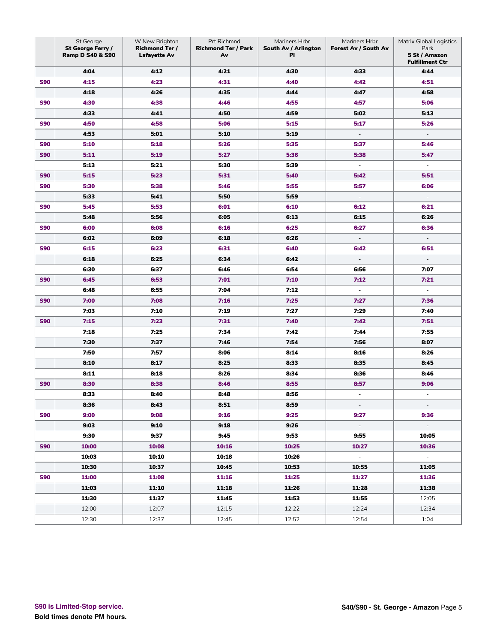|            | St George<br>St George Ferry /<br><b>Ramp D S40 &amp; S90</b> | W New Brighton<br><b>Richmond Ter /</b><br><b>Lafayette Av</b> | Prt Richmnd<br><b>Richmond Ter / Park</b><br>Av | Mariners Hrbr<br>South Av / Arlington<br>PI | Mariners Hrbr<br>Forest Av / South Av | <b>Matrix Global Logistics</b><br>Park<br>5 St / Amazon<br><b>Fulfillment Ctr</b> |
|------------|---------------------------------------------------------------|----------------------------------------------------------------|-------------------------------------------------|---------------------------------------------|---------------------------------------|-----------------------------------------------------------------------------------|
|            | 4:04                                                          | 4:12                                                           | 4:21                                            | 4:30                                        | 4:33                                  | 4:44                                                                              |
| <b>S90</b> | 4:15                                                          | 4:23                                                           | 4:31                                            | 4:40                                        | 4:42                                  | 4:51                                                                              |
|            | 4:18                                                          | 4:26                                                           | 4:35                                            | 4:44                                        | 4:47                                  | 4:58                                                                              |
| <b>S90</b> | 4:30                                                          | 4:38                                                           | 4:46                                            | 4:55                                        | 4:57                                  | 5:06                                                                              |
|            | 4:33                                                          | 4:41                                                           | 4:50                                            | 4:59                                        | 5:02                                  | 5:13                                                                              |
| <b>S90</b> | 4:50                                                          | 4:58                                                           | 5:06                                            | 5:15                                        | 5:17                                  | 5:26                                                                              |
|            | 4:53                                                          | 5:01                                                           | 5:10                                            | 5:19                                        | $\overline{\phantom{a}}$              | $\overline{\phantom{a}}$                                                          |
| <b>S90</b> | 5:10                                                          | 5:18                                                           | 5:26                                            | 5:35                                        | 5:37                                  | 5:46                                                                              |
| <b>S90</b> | 5:11                                                          | 5:19                                                           | 5:27                                            | 5:36                                        | 5:38                                  | 5:47                                                                              |
|            | 5:13                                                          | 5:21                                                           | 5:30                                            | 5:39                                        | $\overline{\phantom{a}}$              | $\overline{\phantom{a}}$                                                          |
| <b>S90</b> | 5:15                                                          | 5:23                                                           | 5:31                                            | 5:40                                        | 5:42                                  | 5:51                                                                              |
| <b>S90</b> | 5:30                                                          | 5:38                                                           | 5:46                                            | 5:55                                        | 5:57                                  | 6:06                                                                              |
|            | 5:33                                                          | 5:41                                                           | 5:50                                            | 5:59                                        | $\overline{\phantom{a}}$              | $\overline{\phantom{a}}$                                                          |
| <b>S90</b> | 5:45                                                          | 5:53                                                           | 6:01                                            | 6:10                                        | 6:12                                  | 6:21                                                                              |
|            | 5:48                                                          | 5:56                                                           | 6:05                                            | 6:13                                        | 6:15                                  | 6:26                                                                              |
| <b>S90</b> | 6:00                                                          | 6:08                                                           | 6:16                                            | 6:25                                        | 6:27                                  | 6:36                                                                              |
|            | 6:02                                                          | 6:09                                                           | 6:18                                            | 6:26                                        | $\overline{\phantom{a}}$              | $\sim$                                                                            |
| <b>S90</b> | 6:15                                                          | 6:23                                                           | 6:31                                            | 6:40                                        | 6:42                                  | 6:51                                                                              |
|            | 6:18                                                          | 6:25                                                           | 6:34                                            | 6:42                                        | $\overline{\phantom{a}}$              |                                                                                   |
|            | 6:30                                                          | 6:37                                                           | 6:46                                            | 6:54                                        | 6:56                                  | 7:07                                                                              |
| <b>S90</b> | 6:45                                                          | 6:53                                                           | 7:01                                            | 7:10                                        | 7:12                                  | 7:21                                                                              |
|            | 6:48                                                          | 6:55                                                           | 7:04                                            | 7:12                                        | $\overline{\phantom{a}}$              | $\overline{\phantom{a}}$                                                          |
| <b>S90</b> | 7:00                                                          | 7:08                                                           | 7:16                                            | 7:25                                        | 7:27                                  | 7:36                                                                              |
|            | 7:03                                                          | 7:10                                                           | 7:19                                            | 7:27                                        | 7:29                                  | 7:40                                                                              |
| <b>S90</b> | 7:15                                                          | 7:23                                                           | 7:31                                            | 7:40                                        | 7:42                                  | 7:51                                                                              |
|            | 7:18                                                          | 7:25                                                           | 7:34                                            | 7:42                                        | 7:44                                  | 7:55                                                                              |
|            | 7:30                                                          | 7:37                                                           | 7:46                                            | 7:54                                        | 7:56                                  | 8:07                                                                              |
|            | 7:50                                                          | 7:57                                                           | 8:06                                            | 8:14                                        | 8:16                                  | 8:26                                                                              |
|            | 8:10                                                          | 8:17                                                           | 8:25                                            | 8:33                                        | 8:35                                  | 8:45                                                                              |
|            | 8:11                                                          | 8:18                                                           | 8:26                                            | 8:34                                        | 8:36                                  | 8:46                                                                              |
| <b>S90</b> | 8:30                                                          | 8:38                                                           | 8:46                                            | 8:55                                        | 8:57                                  | 9:06                                                                              |
|            | 8:33                                                          | 8:40                                                           | 8:48                                            | 8:56                                        | $\overline{\phantom{a}}$              | ÷,                                                                                |
|            | 8:36                                                          | 8:43                                                           | 8:51                                            | 8:59                                        | $\overline{\phantom{a}}$              |                                                                                   |
| <b>S90</b> | 9:00                                                          | 9:08                                                           | 9:16                                            | 9:25                                        | 9:27                                  | 9:36                                                                              |
|            | 9:03                                                          | 9:10                                                           | 9:18                                            | 9:26                                        | $\sim$                                | $\sim$                                                                            |
|            | 9:30                                                          | 9:37                                                           | 9:45                                            | 9:53                                        | 9:55                                  | 10:05                                                                             |
| <b>S90</b> | 10:00                                                         | 10:08                                                          | 10:16                                           | 10:25                                       | 10:27                                 | 10:36                                                                             |
|            | 10:03                                                         | 10:10                                                          | 10:18                                           | 10:26                                       | $\sim$                                | $\sim$                                                                            |
|            | 10:30                                                         | 10:37                                                          | 10:45                                           | 10:53                                       | 10:55                                 | 11:05                                                                             |
| <b>S90</b> | 11:00                                                         | 11:08                                                          | 11:16                                           | 11:25                                       | 11:27                                 | 11:36                                                                             |
|            | 11:03                                                         | 11:10                                                          | 11:18                                           | 11:26                                       | 11:28                                 | 11:38                                                                             |
|            | 11:30                                                         | 11:37                                                          | 11:45                                           | 11:53                                       | 11:55                                 | 12:05                                                                             |
|            | 12:00                                                         | 12:07                                                          | 12:15                                           | 12:22                                       | 12:24                                 | 12:34                                                                             |
|            | 12:30                                                         | 12:37                                                          | 12:45                                           | 12:52                                       | 12:54                                 | 1:04                                                                              |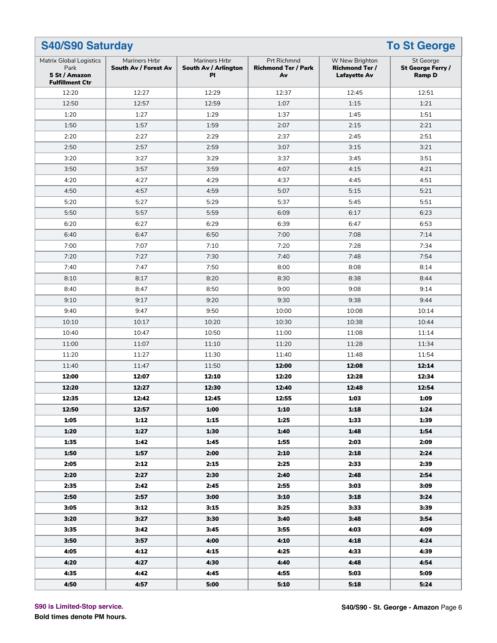| <b>To St George</b><br><b>S40/S90 Saturday</b>                                    |                                       |                                             |                                                        |                                                                |                                                 |  |
|-----------------------------------------------------------------------------------|---------------------------------------|---------------------------------------------|--------------------------------------------------------|----------------------------------------------------------------|-------------------------------------------------|--|
| <b>Matrix Global Logistics</b><br>Park<br>5 St / Amazon<br><b>Fulfillment Ctr</b> | Mariners Hrbr<br>South Av / Forest Av | Mariners Hrbr<br>South Av / Arlington<br>PI | <b>Prt Richmnd</b><br><b>Richmond Ter / Park</b><br>Av | W New Brighton<br><b>Richmond Ter /</b><br><b>Lafayette Av</b> | St George<br>St George Ferry /<br><b>Ramp D</b> |  |
| 12:20                                                                             | 12:27                                 | 12:29                                       | 12:37                                                  | 12:45                                                          | 12:51                                           |  |
| 12:50                                                                             | 12:57                                 | 12:59                                       | 1:07                                                   | 1:15                                                           | 1:21                                            |  |
| 1:20                                                                              | 1:27                                  | 1:29                                        | 1:37                                                   | 1:45                                                           | 1:51                                            |  |
| 1:50                                                                              | 1:57                                  | 1:59                                        | 2:07                                                   | 2:15                                                           | 2:21                                            |  |
| 2:20                                                                              | 2:27                                  | 2:29                                        | 2:37                                                   | 2:45                                                           | 2:51                                            |  |
| 2:50                                                                              | 2:57                                  | 2:59                                        | 3:07                                                   | 3:15                                                           | 3:21                                            |  |
| 3:20                                                                              | 3:27                                  | 3:29                                        | 3:37                                                   | 3:45                                                           | 3:51                                            |  |
| 3:50                                                                              | 3:57                                  | 3:59                                        | 4:07                                                   | 4:15                                                           | 4:21                                            |  |
| 4:20                                                                              | 4:27                                  | 4:29                                        | 4:37                                                   | 4:45                                                           | 4:51                                            |  |
| 4:50                                                                              | 4:57                                  | 4:59                                        | 5:07                                                   | 5:15                                                           | 5:21                                            |  |
| 5:20                                                                              | 5:27                                  | 5:29                                        | 5:37                                                   | 5:45                                                           | 5:51                                            |  |
| 5:50                                                                              | 5:57                                  | 5:59                                        | 6:09                                                   | 6:17                                                           | 6:23                                            |  |
| 6:20                                                                              | 6:27                                  | 6:29                                        | 6:39                                                   | 6:47                                                           | 6:53                                            |  |
| 6:40                                                                              | 6:47                                  | 6:50                                        | 7:00                                                   | 7:08                                                           | 7:14                                            |  |
| 7:00                                                                              | 7:07                                  | 7:10                                        | 7:20                                                   | 7:28                                                           | 7:34                                            |  |
| 7:20                                                                              | 7:27                                  | 7:30                                        | 7:40                                                   | 7:48                                                           | 7:54                                            |  |
| 7:40                                                                              | 7:47                                  | 7:50                                        | 8:00                                                   | 8:08                                                           | 8:14                                            |  |
| 8:10                                                                              | 8:17                                  | 8:20                                        | 8:30                                                   | 8:38                                                           | 8:44                                            |  |
| 8:40                                                                              | 8:47                                  | 8:50                                        | 9:00                                                   | 9:08                                                           | 9:14                                            |  |
| 9:10                                                                              | 9:17                                  | 9:20                                        | 9:30                                                   | 9:38                                                           | 9:44                                            |  |
| 9:40                                                                              | 9:47                                  | 9:50                                        | 10:00                                                  | 10:08                                                          | 10:14                                           |  |
| 10:10                                                                             | 10:17                                 | 10:20                                       | 10:30                                                  | 10:38                                                          | 10:44                                           |  |
| 10:40                                                                             | 10:47                                 | 10:50                                       | 11:00                                                  | 11:08                                                          | 11:14                                           |  |
| 11:00                                                                             | 11:07                                 | 11:10                                       | 11:20                                                  | 11:28                                                          | 11:34                                           |  |
| 11:20                                                                             | 11:27                                 | 11:30                                       | 11:40                                                  | 11:48                                                          | 11:54                                           |  |
| 11:40                                                                             | 11:47                                 | 11:50                                       | 12:00                                                  | 12:08                                                          | 12:14                                           |  |
| 12:00                                                                             | 12:07                                 | 12:10                                       | 12:20                                                  | 12:28                                                          | 12:34                                           |  |
| 12:20                                                                             | 12:27                                 | 12:30                                       | 12:40                                                  | 12:48                                                          | 12:54                                           |  |
| 12:35                                                                             | 12:42                                 | 12:45                                       | 12:55                                                  | 1:03                                                           | 1:09                                            |  |
| 12:50                                                                             | 12:57                                 | 1:00                                        | 1:10                                                   | 1:18                                                           | 1:24                                            |  |
| 1:05                                                                              | 1:12                                  | 1:15                                        | 1:25                                                   | 1:33                                                           | 1:39                                            |  |
| 1:20                                                                              | 1:27                                  | 1:30                                        | 1:40                                                   | 1:48                                                           | 1:54                                            |  |
| 1:35                                                                              | 1:42                                  | 1:45                                        | 1:55                                                   | 2:03                                                           | 2:09                                            |  |
| 1:50                                                                              | 1:57                                  | 2:00                                        | 2:10                                                   | 2:18                                                           | 2:24                                            |  |
| 2:05                                                                              | 2:12                                  | 2:15                                        | 2:25                                                   | 2:33                                                           | 2:39                                            |  |
| 2:20                                                                              | 2:27                                  | 2:30                                        | 2:40                                                   | 2:48                                                           | 2:54                                            |  |
| 2:35                                                                              | 2:42                                  | 2:45                                        | 2:55                                                   | 3:03                                                           | 3:09                                            |  |
| 2:50                                                                              | 2:57                                  | 3:00                                        | 3:10                                                   | 3:18                                                           | 3:24                                            |  |
| 3:05                                                                              | 3:12                                  | 3:15                                        | 3:25                                                   | 3:33                                                           | 3:39                                            |  |
| 3:20                                                                              | 3:27                                  | 3:30                                        | 3:40                                                   | 3:48                                                           | 3:54                                            |  |
| 3:35                                                                              | 3:42                                  | 3:45                                        | 3:55                                                   | 4:03                                                           | 4:09                                            |  |
| 3:50                                                                              | 3:57                                  | 4:00                                        | 4:10                                                   | 4:18                                                           | 4:24                                            |  |
| 4:05                                                                              | 4:12                                  | 4:15                                        | 4:25                                                   | 4:33                                                           | 4:39                                            |  |
| 4:20                                                                              | 4:27                                  | 4:30                                        | 4:40                                                   | 4:48                                                           | 4:54                                            |  |
| 4:35                                                                              | 4:42                                  | 4:45                                        | 4:55                                                   | 5:03                                                           | 5:09                                            |  |
| 4:50                                                                              | 4:57                                  | 5:00                                        | 5:10                                                   | 5:18                                                           | 5:24                                            |  |
|                                                                                   |                                       |                                             |                                                        |                                                                |                                                 |  |

**S90 is Limited-Stop service.**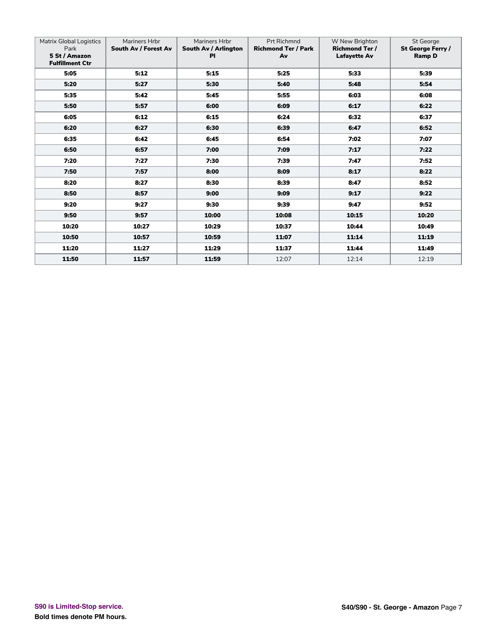| <b>Matrix Global Logistics</b><br>Park<br>5 St / Amazon<br><b>Fulfillment Ctr</b> | Mariners Hrbr<br>South Av / Forest Av | Mariners Hrbr<br>South Av / Arlington<br><b>PI</b> | <b>Prt Richmnd</b><br><b>Richmond Ter / Park</b><br>Av | W New Brighton<br><b>Richmond Ter/</b><br><b>Lafayette Av</b> | St George<br>St George Ferry /<br><b>Ramp D</b> |
|-----------------------------------------------------------------------------------|---------------------------------------|----------------------------------------------------|--------------------------------------------------------|---------------------------------------------------------------|-------------------------------------------------|
| 5:05                                                                              | 5:12                                  | 5:15                                               | 5:25                                                   | 5:33                                                          | 5:39                                            |
| 5:20                                                                              | 5:27                                  | 5:30                                               | 5:40                                                   | 5:48                                                          | 5:54                                            |
| 5:35                                                                              | 5:42                                  | 5:45                                               | 5:55                                                   | 6:03                                                          | 6:08                                            |
| 5:50                                                                              | 5:57                                  | 6:00                                               | 6:09                                                   | 6:17                                                          | 6:22                                            |
| 6:05                                                                              | 6:12                                  | 6:15                                               | 6:24                                                   | 6:32                                                          | 6:37                                            |
| 6:20                                                                              | 6:27                                  | 6:30                                               | 6:39                                                   | 6:47                                                          | 6:52                                            |
| 6:35                                                                              | 6:42                                  | 6:45                                               | 6:54                                                   | 7:02                                                          | 7:07                                            |
| 6:50                                                                              | 6:57                                  | 7:00                                               | 7:09                                                   | 7:17                                                          | 7:22                                            |
| 7:20                                                                              | 7:27                                  | 7:30                                               | 7:39                                                   | 7:47                                                          | 7:52                                            |
| 7:50                                                                              | 7:57                                  | 8:00                                               | 8:09                                                   | 8:17                                                          | 8:22                                            |
| 8:20                                                                              | 8:27                                  | 8:30                                               | 8:39                                                   | 8:47                                                          | 8:52                                            |
| 8:50                                                                              | 8:57                                  | 9:00                                               | 9:09                                                   | 9:17                                                          | 9:22                                            |
| 9:20                                                                              | 9:27                                  | 9:30                                               | 9:39                                                   | 9:47                                                          | 9:52                                            |
| 9:50                                                                              | 9:57                                  | 10:00                                              | 10:08                                                  | 10:15                                                         | 10:20                                           |
| 10:20                                                                             | 10:27                                 | 10:29                                              | 10:37                                                  | 10:44                                                         | 10:49                                           |
| 10:50                                                                             | 10:57                                 | 10:59                                              | 11:07                                                  | 11:14                                                         | 11:19                                           |
| 11:20                                                                             | 11:27                                 | 11:29                                              | 11:37                                                  | 11:44                                                         | 11:49                                           |
| 11:50                                                                             | 11:57                                 | 11:59                                              | 12:07                                                  | 12:14                                                         | 12:19                                           |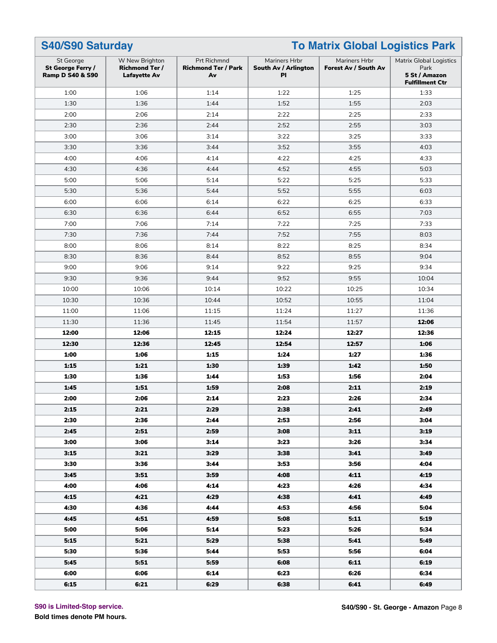| S40/S90 Saturday                                              |                                                                |                                                 | <b>To Matrix Global Logistics Park</b>      |                                       |                                                                                   |  |
|---------------------------------------------------------------|----------------------------------------------------------------|-------------------------------------------------|---------------------------------------------|---------------------------------------|-----------------------------------------------------------------------------------|--|
| St George<br>St George Ferry /<br><b>Ramp D S40 &amp; S90</b> | W New Brighton<br><b>Richmond Ter /</b><br><b>Lafayette Av</b> | Prt Richmnd<br><b>Richmond Ter / Park</b><br>Av | Mariners Hrbr<br>South Av / Arlington<br>ΡI | Mariners Hrbr<br>Forest Av / South Av | <b>Matrix Global Logistics</b><br>Park<br>5 St / Amazon<br><b>Fulfillment Ctr</b> |  |
| 1:00                                                          | 1:06                                                           | 1:14                                            | 1:22                                        | 1:25                                  | 1:33                                                                              |  |
| 1:30                                                          | 1:36                                                           | 1:44                                            | 1:52                                        | 1:55                                  | 2:03                                                                              |  |
| 2:00                                                          | 2:06                                                           | 2:14                                            | 2:22                                        | 2:25                                  | 2:33                                                                              |  |
| 2:30                                                          | 2:36                                                           | 2:44                                            | 2:52                                        | 2:55                                  | 3:03                                                                              |  |
| 3:00                                                          | 3:06                                                           | 3:14                                            | 3:22                                        | 3:25                                  | 3:33                                                                              |  |
| 3:30                                                          | 3:36                                                           | 3:44                                            | 3:52                                        | 3:55                                  | 4:03                                                                              |  |
| 4:00                                                          | 4:06                                                           | 4:14                                            | 4:22                                        | 4:25                                  | 4:33                                                                              |  |
| 4:30                                                          | 4:36                                                           | 4:44                                            | 4:52                                        | 4:55                                  | 5:03                                                                              |  |
| 5:00                                                          | 5:06                                                           | 5:14                                            | 5:22                                        | 5:25                                  | 5:33                                                                              |  |
| 5:30                                                          | 5:36                                                           | 5:44                                            | 5:52                                        | 5:55                                  | 6:03                                                                              |  |
| 6:00                                                          | 6:06                                                           | 6:14                                            | 6:22                                        | 6:25                                  | 6:33                                                                              |  |
| 6:30                                                          | 6:36                                                           | 6:44                                            | 6:52                                        | 6:55                                  | 7:03                                                                              |  |
| 7:00                                                          | 7:06                                                           | 7:14                                            | 7:22                                        | 7:25                                  | 7:33                                                                              |  |
| 7:30                                                          | 7:36                                                           | 7:44                                            | 7:52                                        | 7:55                                  | 8:03                                                                              |  |
| 8:00                                                          | 8:06                                                           | 8:14                                            | 8:22                                        | 8:25                                  | 8:34                                                                              |  |
| 8:30                                                          | 8:36                                                           | 8:44                                            | 8:52                                        | 8:55                                  | 9:04                                                                              |  |
| 9:00                                                          | 9:06                                                           | 9:14                                            | 9:22                                        | 9:25                                  | 9:34                                                                              |  |
| 9:30                                                          | 9:36                                                           | 9:44                                            | 9:52                                        | 9:55                                  | 10:04                                                                             |  |
| 10:00                                                         | 10:06                                                          | 10:14                                           | 10:22                                       | 10:25                                 | 10:34                                                                             |  |
| 10:30                                                         | 10:36                                                          | 10:44                                           | 10:52                                       | 10:55                                 | 11:04                                                                             |  |
| 11:00                                                         | 11:06                                                          | 11:15                                           | 11:24                                       | 11:27                                 | 11:36                                                                             |  |
| 11:30                                                         | 11:36                                                          | 11:45                                           | 11:54                                       | 11:57                                 | 12:06                                                                             |  |
| 12:00                                                         | 12:06                                                          | 12:15                                           | 12:24                                       | 12:27                                 | 12:36                                                                             |  |
| 12:30                                                         | 12:36                                                          | 12:45                                           | 12:54                                       | 12:57                                 | 1:06                                                                              |  |
| 1:00                                                          | 1:06                                                           | 1:15                                            | 1:24                                        | 1:27                                  | 1:36                                                                              |  |
| 1:15                                                          | 1:21                                                           | 1:30                                            | 1:39                                        | 1:42                                  | 1:50                                                                              |  |
| 1:30                                                          | 1:36                                                           | 1:44                                            | 1:53                                        | 1:56                                  | 2:04                                                                              |  |
| 1:45                                                          | 1:51                                                           | 1:59                                            | 2:08                                        | 2:11                                  | 2:19                                                                              |  |
| 2:00                                                          | 2:06                                                           | 2:14                                            | 2:23                                        | 2:26                                  | 2:34                                                                              |  |
| 2:15                                                          | 2:21                                                           | 2:29                                            | 2:38                                        | 2:41                                  | 2:49                                                                              |  |
| 2:30                                                          | 2:36                                                           | 2:44                                            | 2:53                                        | 2:56                                  | 3:04                                                                              |  |
| 2:45                                                          | 2:51                                                           | 2:59                                            | 3:08                                        | 3:11                                  | 3:19                                                                              |  |
| 3:00                                                          | 3:06                                                           | 3:14                                            | 3:23                                        | 3:26                                  | 3:34                                                                              |  |
| 3:15                                                          | 3:21                                                           | 3:29                                            | 3:38                                        | 3:41                                  | 3:49                                                                              |  |
| 3:30                                                          | 3:36                                                           | 3:44                                            | 3:53                                        | 3:56                                  | 4:04                                                                              |  |
| 3:45                                                          | 3:51                                                           | 3:59                                            | 4:08                                        | 4:11                                  | 4:19                                                                              |  |
| 4:00                                                          | 4:06                                                           | 4:14                                            | 4:23                                        | 4:26                                  | 4:34                                                                              |  |
| 4:15                                                          | 4:21                                                           | 4:29                                            | 4:38                                        | 4:41                                  | 4:49                                                                              |  |
| 4:30                                                          | 4:36                                                           | 4:44                                            | 4:53                                        | 4:56                                  | 5:04                                                                              |  |
| 4:45                                                          | 4:51                                                           | 4:59                                            | 5:08                                        | 5:11                                  | 5:19                                                                              |  |
| 5:00                                                          | 5:06                                                           | 5:14                                            | 5:23                                        | 5:26                                  | 5:34                                                                              |  |
| 5:15                                                          | 5:21                                                           | 5:29                                            | 5:38                                        | 5:41                                  | 5:49                                                                              |  |
| 5:30                                                          | 5:36                                                           | 5:44                                            | 5:53                                        | 5:56                                  | 6:04                                                                              |  |
| 5:45                                                          | 5:51                                                           | 5:59                                            | 6:08                                        | 6:11                                  | 6:19                                                                              |  |
| 6:00                                                          | 6:06                                                           | 6:14                                            | 6:23                                        | 6:26                                  | 6:34                                                                              |  |
| 6:15                                                          | 6:21                                                           | 6:29                                            | 6:38                                        | 6:41                                  | 6:49                                                                              |  |

**S90 is Limited-Stop service.**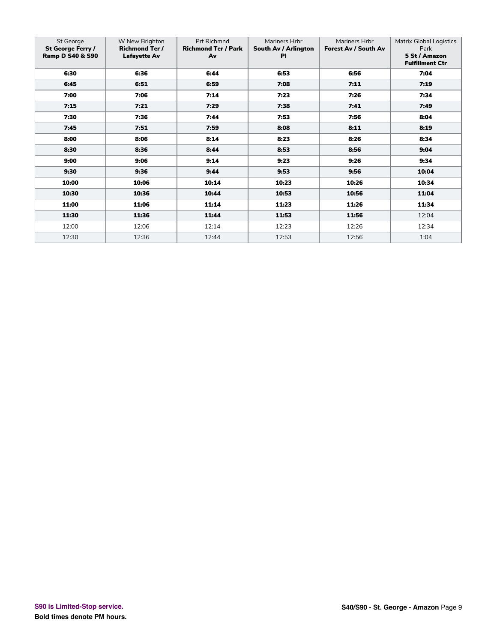| St George<br>St George Ferry /<br><b>Ramp D S40 &amp; S90</b> | W New Brighton<br><b>Richmond Ter /</b><br>Lafayette Av | Prt Richmnd<br><b>Richmond Ter / Park</b><br>Av | Mariners Hrbr<br>South Av / Arlington<br><b>PI</b> | Mariners Hrbr<br>Forest Av / South Av | <b>Matrix Global Logistics</b><br>Park<br>5 St / Amazon<br><b>Fulfillment Ctr</b> |
|---------------------------------------------------------------|---------------------------------------------------------|-------------------------------------------------|----------------------------------------------------|---------------------------------------|-----------------------------------------------------------------------------------|
| 6:30                                                          | 6:36                                                    | 6:44                                            | 6:53                                               | 6:56                                  | 7:04                                                                              |
| 6:45                                                          | 6:51                                                    | 6:59                                            | 7:08                                               | 7:11                                  | 7:19                                                                              |
| 7:00                                                          | 7:06                                                    | 7:14                                            | 7:23                                               | 7:26                                  | 7:34                                                                              |
| 7:15                                                          | 7:21                                                    | 7:29                                            | 7:38                                               | 7:41                                  | 7:49                                                                              |
| 7:30                                                          | 7:36                                                    | 7:44                                            | 7:53                                               | 7:56                                  | 8:04                                                                              |
| 7:45                                                          | 7:51                                                    | 7:59                                            | 8:08                                               | 8:11                                  | 8:19                                                                              |
| 8:00                                                          | 8:06                                                    | 8:14                                            | 8:23                                               | 8:26                                  | 8:34                                                                              |
| 8:30                                                          | 8:36                                                    | 8:44                                            | 8:53                                               | 8:56                                  | 9:04                                                                              |
| 9:00                                                          | 9:06                                                    | 9:14                                            | 9:23                                               | 9:26                                  | 9:34                                                                              |
| 9:30                                                          | 9:36                                                    | 9:44                                            | 9:53                                               | 9:56                                  | 10:04                                                                             |
| 10:00                                                         | 10:06                                                   | 10:14                                           | 10:23                                              | 10:26                                 | 10:34                                                                             |
| 10:30                                                         | 10:36                                                   | 10:44                                           | 10:53                                              | 10:56                                 | 11:04                                                                             |
| 11:00                                                         | 11:06                                                   | 11:14                                           | 11:23                                              | 11:26                                 | 11:34                                                                             |
| 11:30                                                         | 11:36                                                   | 11:44                                           | 11:53                                              | 11:56                                 | 12:04                                                                             |
| 12:00                                                         | 12:06                                                   | 12:14                                           | 12:23                                              | 12:26                                 | 12:34                                                                             |
| 12:30                                                         | 12:36                                                   | 12:44                                           | 12:53                                              | 12:56                                 | 1:04                                                                              |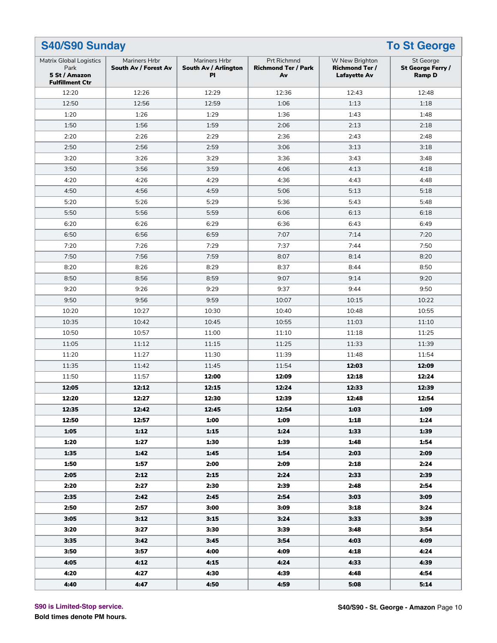| <b>To St George</b><br>S40/S90 Sunday                                             |                                       |                                                    |                                                 |                                                                |                                                 |  |
|-----------------------------------------------------------------------------------|---------------------------------------|----------------------------------------------------|-------------------------------------------------|----------------------------------------------------------------|-------------------------------------------------|--|
| <b>Matrix Global Logistics</b><br>Park<br>5 St / Amazon<br><b>Fulfillment Ctr</b> | Mariners Hrbr<br>South Av / Forest Av | Mariners Hrbr<br>South Av / Arlington<br><b>PI</b> | Prt Richmnd<br><b>Richmond Ter / Park</b><br>Av | W New Brighton<br><b>Richmond Ter /</b><br><b>Lafayette Av</b> | St George<br>St George Ferry /<br><b>Ramp D</b> |  |
| 12:20                                                                             | 12:26                                 | 12:29                                              | 12:36                                           | 12:43                                                          | 12:48                                           |  |
| 12:50                                                                             | 12:56                                 | 12:59                                              | 1:06                                            | 1:13                                                           | 1:18                                            |  |
| 1:20                                                                              | 1:26                                  | 1:29                                               | 1:36                                            | 1:43                                                           | 1:48                                            |  |
| 1:50                                                                              | 1:56                                  | 1:59                                               | 2:06                                            | 2:13                                                           | 2:18                                            |  |
| 2:20                                                                              | 2:26                                  | 2:29                                               | 2:36                                            | 2:43                                                           | 2:48                                            |  |
| 2:50                                                                              | 2:56                                  | 2:59                                               | 3:06                                            | 3:13                                                           | 3:18                                            |  |
| 3:20                                                                              | 3:26                                  | 3:29                                               | 3:36                                            | 3:43                                                           | 3:48                                            |  |
| 3:50                                                                              | 3:56                                  | 3:59                                               | 4:06                                            | 4:13                                                           | 4:18                                            |  |
| 4:20                                                                              | 4:26                                  | 4:29                                               | 4:36                                            | 4:43                                                           | 4:48                                            |  |
| 4:50                                                                              | 4:56                                  | 4:59                                               | 5:06                                            | 5:13                                                           | 5:18                                            |  |
| 5:20                                                                              | 5:26                                  | 5:29                                               | 5:36                                            | 5:43                                                           | 5:48                                            |  |
| 5:50                                                                              | 5:56                                  | 5:59                                               | 6:06                                            | 6:13                                                           | 6:18                                            |  |
| 6:20                                                                              | 6:26                                  | 6:29                                               | 6:36                                            | 6:43                                                           | 6:49                                            |  |
| 6:50                                                                              | 6:56                                  | 6:59                                               | 7:07                                            | 7:14                                                           | 7:20                                            |  |
| 7:20                                                                              | 7:26                                  | 7:29                                               | 7:37                                            | 7:44                                                           | 7:50                                            |  |
| 7:50                                                                              | 7:56                                  | 7:59                                               | 8:07                                            | 8:14                                                           | 8:20                                            |  |
| 8:20                                                                              | 8:26                                  | 8:29                                               | 8:37                                            | 8:44                                                           | 8:50                                            |  |
| 8:50                                                                              | 8:56                                  | 8:59                                               | 9:07                                            | 9:14                                                           | 9:20                                            |  |
| 9:20                                                                              | 9:26                                  | 9:29                                               | 9:37                                            | 9:44                                                           | 9:50                                            |  |
| 9:50                                                                              | 9:56                                  | 9:59                                               | 10:07                                           | 10:15                                                          | 10:22                                           |  |
| 10:20                                                                             | 10:27                                 | 10:30                                              | 10:40                                           | 10:48                                                          | 10:55                                           |  |
| 10:35                                                                             | 10:42                                 | 10:45                                              | 10:55                                           | 11:03                                                          | 11:10                                           |  |
| 10:50                                                                             | 10:57                                 | 11:00                                              | 11:10                                           | 11:18                                                          | 11:25                                           |  |
| 11:05                                                                             | 11:12                                 | 11:15                                              | 11:25                                           | 11:33                                                          | 11:39                                           |  |
| 11:20                                                                             | 11:27                                 | 11:30                                              | 11:39                                           | 11:48                                                          | 11:54                                           |  |
| 11:35                                                                             | 11:42                                 | 11:45                                              | 11:54                                           | 12:03                                                          | 12:09                                           |  |
| 11:50                                                                             | 11:57                                 | 12:00                                              | 12:09                                           | 12:18                                                          | 12:24                                           |  |
| 12:05                                                                             | 12:12                                 | 12:15                                              | 12:24                                           | 12:33                                                          | 12:39                                           |  |
| 12:20                                                                             | 12:27                                 | 12:30                                              | 12:39                                           | 12:48                                                          | 12:54                                           |  |
| 12:35                                                                             | 12:42                                 | 12:45                                              | 12:54                                           | 1:03                                                           | 1:09                                            |  |
| 12:50                                                                             | 12:57                                 | 1:00                                               | 1:09                                            | 1:18                                                           | 1:24                                            |  |
| 1:05                                                                              | 1:12                                  | 1:15                                               | 1:24                                            | 1:33                                                           | 1:39                                            |  |
| 1:20                                                                              | 1:27                                  | 1:30                                               | 1:39                                            | 1:48                                                           | 1:54                                            |  |
| 1:35                                                                              | 1:42                                  | 1:45                                               | 1:54                                            | 2:03                                                           | 2:09                                            |  |
| 1:50                                                                              | 1:57                                  | 2:00                                               | 2:09                                            | 2:18                                                           | 2:24                                            |  |
| 2:05                                                                              | 2:12                                  | 2:15                                               | 2:24                                            | 2:33                                                           | 2:39                                            |  |
| 2:20                                                                              | 2:27                                  | 2:30                                               | 2:39                                            | 2:48                                                           | 2:54                                            |  |
| 2:35                                                                              | 2:42                                  | 2:45                                               | 2:54                                            | 3:03                                                           | 3:09                                            |  |
| 2:50                                                                              | 2:57                                  | 3:00                                               | 3:09                                            | 3:18                                                           | 3:24                                            |  |
| 3:05                                                                              | 3:12                                  | 3:15                                               | 3:24                                            | 3:33                                                           | 3:39                                            |  |
| 3:20                                                                              | 3:27                                  | 3:30                                               | 3:39                                            | 3:48                                                           | 3:54                                            |  |
| 3:35                                                                              | 3:42                                  | 3:45                                               | 3:54                                            | 4:03                                                           | 4:09                                            |  |
| 3:50                                                                              | 3:57                                  | 4:00                                               | 4:09                                            | 4:18                                                           | 4:24                                            |  |
| 4:05                                                                              | 4:12                                  | 4:15                                               | 4:24                                            | 4:33                                                           | 4:39                                            |  |
| 4:20                                                                              | 4:27                                  | 4:30                                               | 4:39                                            | 4:48                                                           | 4:54                                            |  |
| 4:40                                                                              | 4:47                                  | 4:50                                               | 4:59                                            | 5:08                                                           | 5:14                                            |  |
|                                                                                   |                                       |                                                    |                                                 |                                                                |                                                 |  |

**S90 is Limited-Stop service.**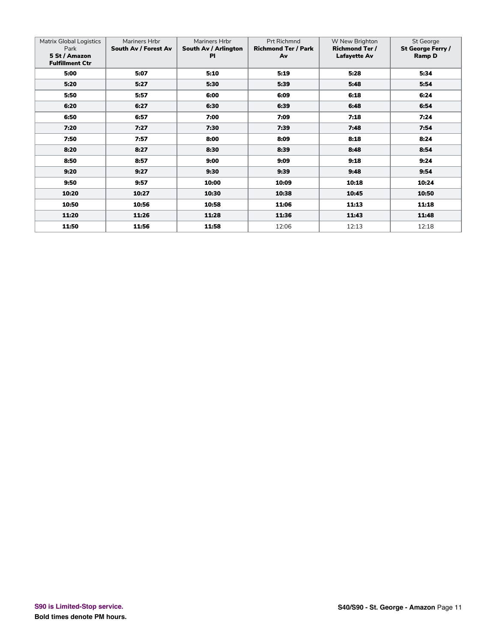| <b>Matrix Global Logistics</b><br>Park<br>5 St / Amazon<br><b>Fulfillment Ctr</b> | Mariners Hrbr<br>South Av / Forest Av | Mariners Hrbr<br>South Av / Arlington<br>PI | <b>Prt Richmnd</b><br><b>Richmond Ter / Park</b><br>Av | W New Brighton<br><b>Richmond Ter /</b><br><b>Lafayette Av</b> | St George<br>St George Ferry /<br><b>Ramp D</b> |
|-----------------------------------------------------------------------------------|---------------------------------------|---------------------------------------------|--------------------------------------------------------|----------------------------------------------------------------|-------------------------------------------------|
| 5:00                                                                              | 5:07                                  | 5:10                                        | 5:19                                                   | 5:28                                                           | 5:34                                            |
| 5:20                                                                              | 5:27                                  | 5:30                                        | 5:39                                                   | 5:48                                                           | 5:54                                            |
| 5:50                                                                              | 5:57                                  | 6:00                                        | 6:09                                                   | 6:18                                                           | 6:24                                            |
| 6:20                                                                              | 6:27                                  | 6:30                                        | 6:39                                                   | 6:48                                                           | 6:54                                            |
| 6:50                                                                              | 6:57                                  | 7:00                                        | 7:09                                                   | 7:18                                                           | 7:24                                            |
| 7:20                                                                              | 7:27                                  | 7:30                                        | 7:39                                                   | 7:48                                                           | 7:54                                            |
| 7:50                                                                              | 7:57                                  | 8:00                                        | 8:09                                                   | 8:18                                                           | 8:24                                            |
| 8:20                                                                              | 8:27                                  | 8:30                                        | 8:39                                                   | 8:48                                                           | 8:54                                            |
| 8:50                                                                              | 8:57                                  | 9:00                                        | 9:09                                                   | 9:18                                                           | 9:24                                            |
| 9:20                                                                              | 9:27                                  | 9:30                                        | 9:39                                                   | 9:48                                                           | 9:54                                            |
| 9:50                                                                              | 9:57                                  | 10:00                                       | 10:09                                                  | 10:18                                                          | 10:24                                           |
| 10:20                                                                             | 10:27                                 | 10:30                                       | 10:38                                                  | 10:45                                                          | 10:50                                           |
| 10:50                                                                             | 10:56                                 | 10:58                                       | 11:06                                                  | 11:13                                                          | 11:18                                           |
| 11:20                                                                             | 11:26                                 | 11:28                                       | 11:36                                                  | 11:43                                                          | 11:48                                           |
| 11:50                                                                             | 11:56                                 | 11:58                                       | 12:06                                                  | 12:13                                                          | 12:18                                           |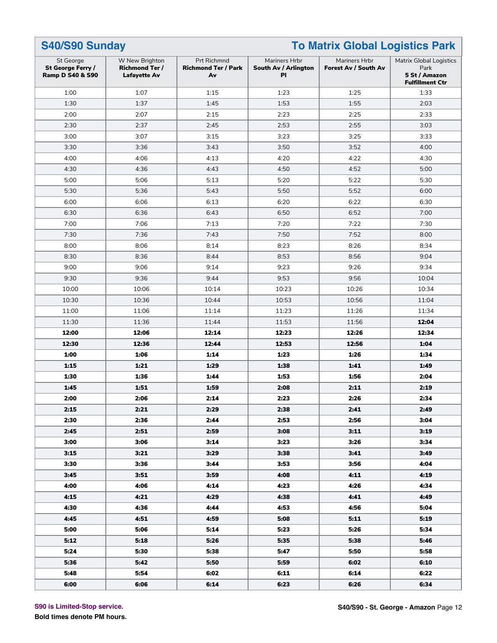| S40/S90 Sunday                                                |                                                                |                                                 | <b>To Matrix Global Logistics Park</b>             |                                       |                                                                                   |  |
|---------------------------------------------------------------|----------------------------------------------------------------|-------------------------------------------------|----------------------------------------------------|---------------------------------------|-----------------------------------------------------------------------------------|--|
| St George<br>St George Ferry /<br><b>Ramp D S40 &amp; S90</b> | W New Brighton<br><b>Richmond Ter /</b><br><b>Lafayette Av</b> | Prt Richmnd<br><b>Richmond Ter / Park</b><br>Av | Mariners Hrbr<br>South Av / Arlington<br><b>PI</b> | Mariners Hrbr<br>Forest Av / South Av | <b>Matrix Global Logistics</b><br>Park<br>5 St / Amazon<br><b>Fulfillment Ctr</b> |  |
| 1:00                                                          | 1:07                                                           | 1:15                                            | 1:23                                               | 1:25                                  | 1:33                                                                              |  |
| 1:30                                                          | 1:37                                                           | 1:45                                            | 1:53                                               | 1:55                                  | 2:03                                                                              |  |
| 2:00                                                          | 2:07                                                           | 2:15                                            | 2:23                                               | 2:25                                  | 2:33                                                                              |  |
| 2:30                                                          | 2:37                                                           | 2:45                                            | 2:53                                               | 2:55                                  | 3:03                                                                              |  |
| 3:00                                                          | 3:07                                                           | 3:15                                            | 3:23                                               | 3:25                                  | 3:33                                                                              |  |
| 3:30                                                          | 3:36                                                           | 3:43                                            | 3:50                                               | 3:52                                  | 4:00                                                                              |  |
| 4:00                                                          | 4:06                                                           | 4:13                                            | 4:20                                               | 4:22                                  | 4:30                                                                              |  |
| 4:30                                                          | 4:36                                                           | 4:43                                            | 4:50                                               | 4:52                                  | 5:00                                                                              |  |
| 5:00                                                          | 5:06                                                           | 5:13                                            | 5:20                                               | 5:22                                  | 5:30                                                                              |  |
| 5:30                                                          | 5:36                                                           | 5:43                                            | 5:50                                               | 5:52                                  | 6:00                                                                              |  |
| 6:00                                                          | 6:06                                                           | 6:13                                            | 6:20                                               | 6:22                                  | 6:30                                                                              |  |
| 6:30                                                          | 6:36                                                           | 6:43                                            | 6:50                                               | 6:52                                  | 7:00                                                                              |  |
| 7:00                                                          | 7:06                                                           | 7:13                                            | 7:20                                               | 7:22                                  | 7:30                                                                              |  |
| 7:30                                                          | 7:36                                                           | 7:43                                            | 7:50                                               | 7:52                                  | 8:00                                                                              |  |
| 8:00                                                          | 8:06                                                           | 8:14                                            | 8:23                                               | 8:26                                  | 8:34                                                                              |  |
| 8:30                                                          | 8:36                                                           | 8:44                                            | 8:53                                               | 8:56                                  | 9:04                                                                              |  |
| 9:00                                                          | 9:06                                                           | 9:14                                            | 9:23                                               | 9:26                                  | 9:34                                                                              |  |
| 9:30                                                          | 9:36                                                           | 9:44                                            | 9:53                                               | 9:56                                  | 10:04                                                                             |  |
| 10:00                                                         | 10:06                                                          | 10:14                                           | 10:23                                              | 10:26                                 | 10:34                                                                             |  |
| 10:30                                                         | 10:36                                                          | 10:44                                           | 10:53                                              | 10:56                                 | 11:04                                                                             |  |
| 11:00                                                         | 11:06                                                          | 11:14                                           | 11:23                                              | 11:26                                 | 11:34                                                                             |  |
| 11:30                                                         | 11:36                                                          | 11:44                                           | 11:53                                              | 11:56                                 | 12:04                                                                             |  |
| 12:00                                                         | 12:06                                                          | 12:14                                           | 12:23                                              | 12:26                                 | 12:34                                                                             |  |
| 12:30                                                         | 12:36                                                          | 12:44                                           | 12:53                                              | 12:56                                 | 1:04                                                                              |  |
| 1:00                                                          | 1:06                                                           | 1:14                                            | 1:23                                               | 1:26                                  | 1:34                                                                              |  |
| 1:15                                                          | 1:21                                                           | 1:29                                            | 1:38                                               | 1:41                                  | 1:49                                                                              |  |
| 1:30                                                          | 1:36                                                           | 1:44                                            | 1:53                                               | 1:56                                  | 2:04                                                                              |  |
| 1:45                                                          | 1:51                                                           | 1:59                                            | 2:08                                               | 2:11                                  | 2:19                                                                              |  |
| 2:00                                                          | 2:06                                                           | 2:14                                            | 2:23                                               | 2:26                                  | 2:34                                                                              |  |
| 2:15                                                          | 2:21                                                           | 2:29                                            | 2:38                                               | 2:41                                  | 2:49                                                                              |  |
| 2:30                                                          | 2:36                                                           | 2:44                                            | 2:53                                               | 2:56                                  | 3:04                                                                              |  |
| 2:45                                                          | 2:51                                                           | 2:59                                            | 3:08                                               | 3:11                                  | 3:19                                                                              |  |
| 3:00                                                          | 3:06                                                           | 3:14                                            | 3:23                                               | 3:26                                  | 3:34                                                                              |  |
| 3:15                                                          | 3:21                                                           | 3:29                                            | 3:38                                               | 3:41                                  | 3:49                                                                              |  |
| 3:30                                                          | 3:36                                                           | 3:44                                            | 3:53                                               | 3:56                                  | 4:04                                                                              |  |
| 3:45                                                          | 3:51                                                           | 3:59                                            | 4:08                                               | 4:11                                  | 4:19                                                                              |  |
| 4:00                                                          | 4:06                                                           | 4:14                                            | 4:23                                               | 4:26                                  | 4:34                                                                              |  |
| 4:15                                                          | 4:21                                                           | 4:29                                            | 4:38                                               | 4:41                                  | 4:49                                                                              |  |
| 4:30                                                          | 4:36                                                           | 4:44                                            | 4:53                                               | 4:56                                  | 5:04                                                                              |  |
| 4:45                                                          | 4:51                                                           | 4:59                                            | 5:08                                               | 5:11                                  | 5:19                                                                              |  |
| 5:00                                                          | 5:06                                                           | 5:14                                            | 5:23                                               | 5:26                                  | 5:34                                                                              |  |
| 5:12                                                          | 5:18                                                           | 5:26                                            | 5:35                                               | 5:38                                  | 5:46                                                                              |  |
| 5:24                                                          | 5:30                                                           | 5:38                                            | 5:47                                               | 5:50                                  | 5:58                                                                              |  |
| 5:36                                                          | 5:42                                                           | 5:50                                            | 5:59                                               | 6:02                                  | 6:10                                                                              |  |
| 5:48                                                          | 5:54                                                           | 6:02                                            | 6:11                                               | 6:14                                  | 6:22                                                                              |  |
| 6:00                                                          | 6:06                                                           | 6:14                                            | 6:23                                               | 6:26                                  | 6:34                                                                              |  |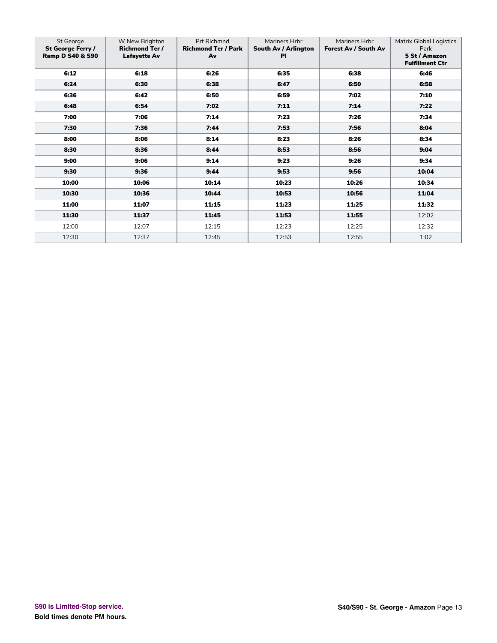| St George<br>St George Ferry /<br><b>Ramp D S40 &amp; S90</b> | W New Brighton<br><b>Richmond Ter /</b><br>Lafayette Av | Prt Richmnd<br><b>Richmond Ter / Park</b><br>Av | Mariners Hrbr<br>South Av / Arlington<br><b>PI</b> | Mariners Hrbr<br>Forest Av / South Av | <b>Matrix Global Logistics</b><br>Park<br>5 St / Amazon<br><b>Fulfillment Ctr</b> |
|---------------------------------------------------------------|---------------------------------------------------------|-------------------------------------------------|----------------------------------------------------|---------------------------------------|-----------------------------------------------------------------------------------|
| 6:12                                                          | 6:18                                                    | 6:26                                            | 6:35                                               | 6:38                                  | 6:46                                                                              |
| 6:24                                                          | 6:30                                                    | 6:38                                            | 6:47                                               | 6:50                                  | 6:58                                                                              |
| 6:36                                                          | 6:42                                                    | 6:50                                            | 6:59                                               | 7:02                                  | 7:10                                                                              |
| 6:48                                                          | 6:54                                                    | 7:02                                            | 7:11                                               | 7:14                                  | 7:22                                                                              |
| 7:00                                                          | 7:06                                                    | 7:14                                            | 7:23                                               | 7:26                                  | 7:34                                                                              |
| 7:30                                                          | 7:36                                                    | 7:44                                            | 7:53                                               | 7:56                                  | 8:04                                                                              |
| 8:00                                                          | 8:06                                                    | 8:14                                            | 8:23                                               | 8:26                                  | 8:34                                                                              |
| 8:30                                                          | 8:36                                                    | 8:44                                            | 8:53                                               | 8:56                                  | 9:04                                                                              |
| 9:00                                                          | 9:06                                                    | 9:14                                            | 9:23                                               | 9:26                                  | 9:34                                                                              |
| 9:30                                                          | 9:36                                                    | 9:44                                            | 9:53                                               | 9:56                                  | 10:04                                                                             |
| 10:00                                                         | 10:06                                                   | 10:14                                           | 10:23                                              | 10:26                                 | 10:34                                                                             |
| 10:30                                                         | 10:36                                                   | 10:44                                           | 10:53                                              | 10:56                                 | 11:04                                                                             |
| 11:00                                                         | 11:07                                                   | 11:15                                           | 11:23                                              | 11:25                                 | 11:32                                                                             |
| 11:30                                                         | 11:37                                                   | 11:45                                           | 11:53                                              | 11:55                                 | 12:02                                                                             |
| 12:00                                                         | 12:07                                                   | 12:15                                           | 12:23                                              | 12:25                                 | 12:32                                                                             |
| 12:30                                                         | 12:37                                                   | 12:45                                           | 12:53                                              | 12:55                                 | 1:02                                                                              |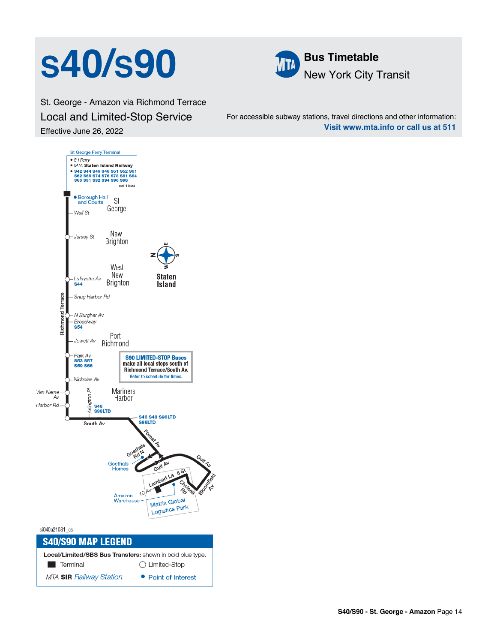## **SAO/S90 MM** Bus Timetable



St. George - Amazon via Richmond Terrace Local and Limited-Stop Service Effective June 26, 2022

For accessible subway stations, travel directions and other information: **Visit www.mta.info or call us at 511**

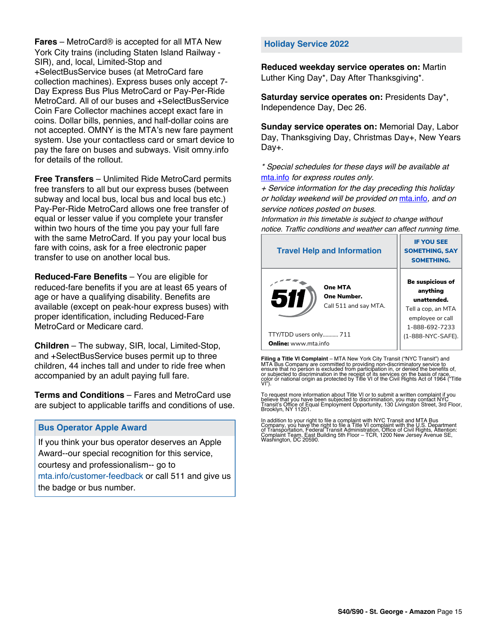**Fares** – MetroCard® is accepted for all MTA New York City trains (including Staten Island Railway - SIR), and, local, Limited-Stop and +SelectBusService buses (at MetroCard fare collection machines). Express buses only accept 7- Day Express Bus Plus MetroCard or Pay-Per-Ride MetroCard. All of our buses and +SelectBusService Coin Fare Collector machines accept exact fare in coins. Dollar bills, pennies, and half-dollar coins are not accepted. OMNY is the MTA's new fare payment system. Use your contactless card or smart device to pay the fare on buses and subways. Visit omny.info for details of the rollout.

**Free Transfers** – Unlimited Ride MetroCard permits free transfers to all but our express buses (between subway and local bus, local bus and local bus etc.) Pay-Per-Ride MetroCard allows one free transfer of equal or lesser value if you complete your transfer within two hours of the time you pay your full fare with the same MetroCard. If you pay your local bus fare with coins, ask for a free electronic paper transfer to use on another local bus.

**Reduced-Fare Benefits** – You are eligible for reduced-fare benefits if you are at least 65 years of age or have a qualifying disability. Benefits are available (except on peak-hour express buses) with proper identification, including Reduced-Fare MetroCard or Medicare card.

**Children** – The subway, SIR, local, Limited-Stop, and +SelectBusService buses permit up to three children, 44 inches tall and under to ride free when accompanied by an adult paying full fare.

**Terms and Conditions** – Fares and MetroCard use are subject to applicable tariffs and conditions of use.

### **Bus Operator Apple Award**

If you think your bus operator deserves an Apple Award--our special recognition for this service, courtesy and professionalism-- go to mta.info/customer-feedback or call 511 and give us the badge or bus number.

#### **Holiday Service 2022**

**Reduced weekday service operates on:** Martin Luther King Day\*, Day After Thanksgiving\*.

**Saturday service operates on:** Presidents Day\*, Independence Day, Dec 26.

**Sunday service operates on:** Memorial Day, Labor Day, Thanksgiving Day, Christmas Day+, New Years Day+.

\* Special schedules for these days will be available at [mta.info](https://new.mta.info/) for express routes only.

+ Service information for the day preceding this holiday or holiday weekend will be provided on [mta.info](https://new.mta.info/), and on service notices posted on buses.

Information in this timetable is subject to change without notice. Traffic conditions and weather can affect running time.

| <b>Travel Help and Information</b>                     | <b>IF YOU SEE</b><br><b>SOMETHING, SAY</b><br><b>SOMETHING.</b>                                                |
|--------------------------------------------------------|----------------------------------------------------------------------------------------------------------------|
| One MTA<br>511<br>One Number.<br>Call 511 and say MTA. | <b>Be suspicious of</b><br>anything<br>unattended.<br>Tell a cop, an MTA<br>employee or call<br>1-888-692-7233 |
| TTY/TDD users only 711                                 | (1-888-NYC-SAFE).                                                                                              |
| <b>Online:</b> www.mta.info                            |                                                                                                                |

**Filing a Title VI Complaint** – MTA New York City Transit ("NYC Transit") and<br>MTA Bus Company are committed to providing non-discriminatory service to<br>ensure that no person is excluded from participation in, or denied the

To request more information about Title VI or to submit a written complaint if you believe that you have been subjected to discrimination, you may contact NYC<br>Transit's Office of Equal Employment Opportunity, 130 Livingston Street, 3rd Floor,<br>Brooklyn, NY 11201.

In addition to your right to file a complaint with NYC Transit and MTA Bus<br>Company, you have the right to file a Title VI complaint with the U.S. Department<br>of Transportation, Federal Transit Administration, Office of Civi